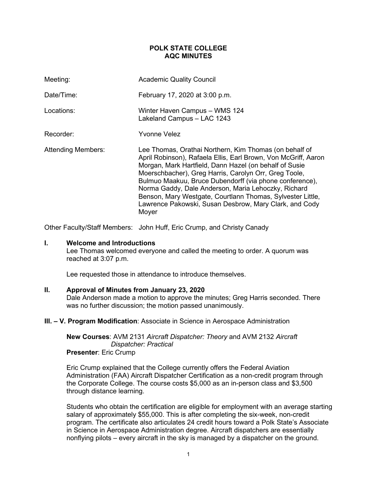# **POLK STATE COLLEGE AQC MINUTES**

| Meeting:                  | <b>Academic Quality Council</b>                                                                                                                                                                                                                                                                                                                                                                                                                                                                |
|---------------------------|------------------------------------------------------------------------------------------------------------------------------------------------------------------------------------------------------------------------------------------------------------------------------------------------------------------------------------------------------------------------------------------------------------------------------------------------------------------------------------------------|
| Date/Time:                | February 17, 2020 at 3:00 p.m.                                                                                                                                                                                                                                                                                                                                                                                                                                                                 |
| Locations:                | Winter Haven Campus - WMS 124<br>Lakeland Campus - LAC 1243                                                                                                                                                                                                                                                                                                                                                                                                                                    |
| Recorder:                 | Yvonne Velez                                                                                                                                                                                                                                                                                                                                                                                                                                                                                   |
| <b>Attending Members:</b> | Lee Thomas, Orathai Northern, Kim Thomas (on behalf of<br>April Robinson), Rafaela Ellis, Earl Brown, Von McGriff, Aaron<br>Morgan, Mark Hartfield, Dann Hazel (on behalf of Susie<br>Moerschbacher), Greg Harris, Carolyn Orr, Greg Toole,<br>Bulmuo Maakuu, Bruce Dubendorff (via phone conference),<br>Norma Gaddy, Dale Anderson, Maria Lehoczky, Richard<br>Benson, Mary Westgate, Courtlann Thomas, Sylvester Little,<br>Lawrence Pakowski, Susan Desbrow, Mary Clark, and Cody<br>Moyer |

Other Faculty/Staff Members: John Huff, Eric Crump, and Christy Canady

## **I. Welcome and Introductions**

Lee Thomas welcomed everyone and called the meeting to order. A quorum was reached at 3:07 p.m.

Lee requested those in attendance to introduce themselves.

#### **II. Approval of Minutes from January 23, 2020**

Dale Anderson made a motion to approve the minutes; Greg Harris seconded. There was no further discussion; the motion passed unanimously.

#### **III. – V. Program Modification**: Associate in Science in Aerospace Administration

**New Courses**: AVM 2131 *Aircraft Dispatcher: Theory* and AVM 2132 *Aircraft Dispatcher: Practical* **Presenter**: Eric Crump

Eric Crump explained that the College currently offers the Federal Aviation Administration (FAA) Aircraft Dispatcher Certification as a non-credit program through the Corporate College. The course costs \$5,000 as an in-person class and \$3,500 through distance learning.

Students who obtain the certification are eligible for employment with an average starting salary of approximately \$55,000. This is after completing the six-week, non-credit program. The certificate also articulates 24 credit hours toward a Polk State's Associate in Science in Aerospace Administration degree. Aircraft dispatchers are essentially nonflying pilots – every aircraft in the sky is managed by a dispatcher on the ground.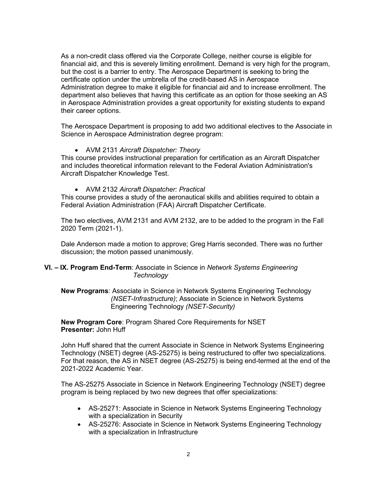As a non-credit class offered via the Corporate College, neither course is eligible for financial aid, and this is severely limiting enrollment. Demand is very high for the program, but the cost is a barrier to entry. The Aerospace Department is seeking to bring the certificate option under the umbrella of the credit-based AS in Aerospace Administration degree to make it eligible for financial aid and to increase enrollment. The department also believes that having this certificate as an option for those seeking an AS in Aerospace Administration provides a great opportunity for existing students to expand their career options.

The Aerospace Department is proposing to add two additional electives to the Associate in Science in Aerospace Administration degree program:

# • AVM 2131 *Aircraft Dispatcher: Theory*

This course provides instructional preparation for certification as an Aircraft Dispatcher and includes theoretical information relevant to the Federal Aviation Administration's Aircraft Dispatcher Knowledge Test.

• AVM 2132 *Aircraft Dispatcher: Practical*

This course provides a study of the aeronautical skills and abilities required to obtain a Federal Aviation Administration (FAA) Aircraft Dispatcher Certificate.

The two electives, AVM 2131 and AVM 2132, are to be added to the program in the Fall 2020 Term (2021-1).

Dale Anderson made a motion to approve; Greg Harris seconded. There was no further discussion; the motion passed unanimously.

# **VI. – IX. Program End-Term**: Associate in Science in *Network Systems Engineering Technology*

**New Programs**: Associate in Science in Network Systems Engineering Technology *(NSET-Infrastructure)*; Associate in Science in Network Systems Engineering Technology *(NSET-Security)*

**New Program Core**: Program Shared Core Requirements for NSET **Presenter:** John Huff

John Huff shared that the current Associate in Science in Network Systems Engineering Technology (NSET) degree (AS-25275) is being restructured to offer two specializations. For that reason, the AS in NSET degree (AS-25275) is being end-termed at the end of the 2021-2022 Academic Year.

The AS-25275 Associate in Science in Network Engineering Technology (NSET) degree program is being replaced by two new degrees that offer specializations:

- AS-25271: Associate in Science in Network Systems Engineering Technology with a specialization in Security
- AS-25276: Associate in Science in Network Systems Engineering Technology with a specialization in Infrastructure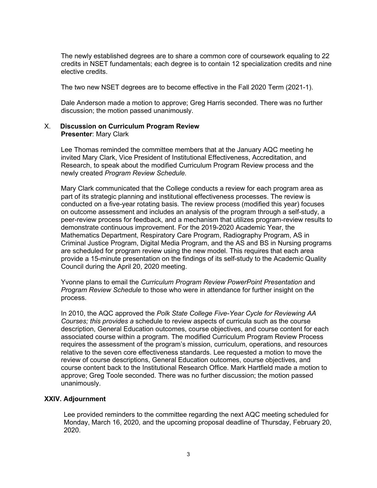The newly established degrees are to share a common core of coursework equaling to 22 credits in NSET fundamentals; each degree is to contain 12 specialization credits and nine elective credits.

The two new NSET degrees are to become effective in the Fall 2020 Term (2021-1).

Dale Anderson made a motion to approve; Greg Harris seconded. There was no further discussion; the motion passed unanimously.

## X. **Discussion on Curriculum Program Review Presenter**: Mary Clark

Lee Thomas reminded the committee members that at the January AQC meeting he invited Mary Clark, Vice President of Institutional Effectiveness, Accreditation, and Research, to speak about the modified Curriculum Program Review process and the newly created *Program Review Schedule.*

Mary Clark communicated that the College conducts a review for each program area as part of its strategic planning and institutional effectiveness processes. The review is conducted on a five-year rotating basis. The review process (modified this year) focuses on outcome assessment and includes an analysis of the program through a self-study, a peer-review process for feedback, and a mechanism that utilizes program-review results to demonstrate continuous improvement. For the 2019-2020 Academic Year, the Mathematics Department, Respiratory Care Program, Radiography Program, AS in Criminal Justice Program, Digital Media Program, and the AS and BS in Nursing programs are scheduled for program review using the new model. This requires that each area provide a 15-minute presentation on the findings of its self-study to the Academic Quality Council during the April 20, 2020 meeting.

Yvonne plans to email the *Curriculum Program Review PowerPoint Presentation* and *Program Review Schedule* to those who were in attendance for further insight on the process.

In 2010, the AQC approved the *Polk State College Five-Year Cycle for Reviewing AA Courses; this provides a* schedule to review aspects of curricula such as the course description, General Education outcomes, course objectives, and course content for each associated course within a program. The modified Curriculum Program Review Process requires the assessment of the program's mission, curriculum, operations, and resources relative to the seven core effectiveness standards. Lee requested a motion to move the review of course descriptions, General Education outcomes, course objectives, and course content back to the Institutional Research Office. Mark Hartfield made a motion to approve; Greg Toole seconded. There was no further discussion; the motion passed unanimously.

#### **XXIV. Adjournment**

Lee provided reminders to the committee regarding the next AQC meeting scheduled for Monday, March 16, 2020, and the upcoming proposal deadline of Thursday, February 20, 2020.